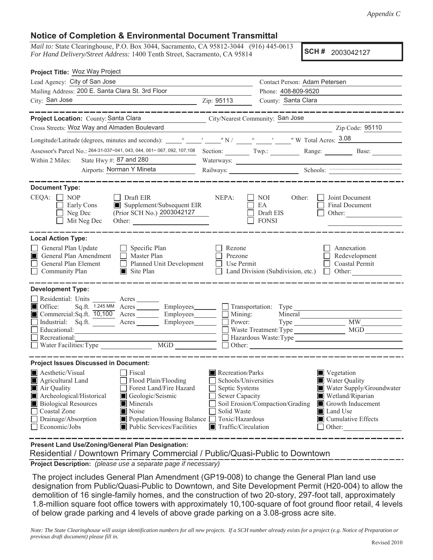## **Notice of Completion & Environmental Document Transmittal**

*Mail to:* State Clearinghouse, P.O. Box 3044, Sacramento, CA 95812-3044 (916) 445-0613 *For Hand Delivery/Street Address:* 1400 Tenth Street, Sacramento, CA 95814

**SCH #** 2003042127

| Project Title: Woz Way Project                                                                                                                                                                                                                                                                           |                                                                                                    |                                                                                                                                                      |                                                                                   |                                                                                                                                                       |
|----------------------------------------------------------------------------------------------------------------------------------------------------------------------------------------------------------------------------------------------------------------------------------------------------------|----------------------------------------------------------------------------------------------------|------------------------------------------------------------------------------------------------------------------------------------------------------|-----------------------------------------------------------------------------------|-------------------------------------------------------------------------------------------------------------------------------------------------------|
| Lead Agency: City of San Jose                                                                                                                                                                                                                                                                            |                                                                                                    |                                                                                                                                                      | Contact Person: Adam Petersen                                                     |                                                                                                                                                       |
| Mailing Address: 200 E. Santa Clara St. 3rd Floor                                                                                                                                                                                                                                                        |                                                                                                    |                                                                                                                                                      | Phone: 408-809-9520                                                               |                                                                                                                                                       |
| City: San Jose<br><u> 1989 - Johann Barn, mars eta biztanleria (</u>                                                                                                                                                                                                                                     |                                                                                                    | Zip: 95113                                                                                                                                           | County: Santa Clara                                                               |                                                                                                                                                       |
|                                                                                                                                                                                                                                                                                                          | ________                                                                                           |                                                                                                                                                      |                                                                                   | ______________                                                                                                                                        |
| Project Location: County: Santa Clara                                                                                                                                                                                                                                                                    | <u> 1989 - Johann Barbara, martxa a</u>                                                            |                                                                                                                                                      | City/Nearest Community: San Jose                                                  |                                                                                                                                                       |
| Cross Streets: Woz Way and Almaden Boulevard                                                                                                                                                                                                                                                             |                                                                                                    |                                                                                                                                                      |                                                                                   | Zip Code: 95110                                                                                                                                       |
|                                                                                                                                                                                                                                                                                                          |                                                                                                    |                                                                                                                                                      |                                                                                   |                                                                                                                                                       |
| Assessor's Parcel No.: 264-31-037~041, 043, 044, 061~ 067, 092, 107, 108 Section: Twp.: Range: Range: Base:                                                                                                                                                                                              |                                                                                                    |                                                                                                                                                      |                                                                                   |                                                                                                                                                       |
| State Hwy #: $87$ and 280<br>Within 2 Miles:                                                                                                                                                                                                                                                             |                                                                                                    |                                                                                                                                                      |                                                                                   |                                                                                                                                                       |
| Airports: Norman Y Mineta                                                                                                                                                                                                                                                                                |                                                                                                    |                                                                                                                                                      |                                                                                   | Railways: Schools: Schools:                                                                                                                           |
| <b>Document Type:</b><br>$CEQA: \Box NOP$<br>$\Box$ Draft EIR<br>Supplement/Subsequent EIR<br>Early Cons<br>(Prior SCH No.) 2003042127<br>Neg Dec<br>Mit Neg Dec<br>Other:                                                                                                                               |                                                                                                    | NEPA:                                                                                                                                                | NOI<br>Other:<br>EA<br>Draft EIS<br><b>FONSI</b>                                  | Joint Document<br>Final Document<br>Other:                                                                                                            |
| <b>Local Action Type:</b><br>General Plan Update<br>$\Box$ Specific Plan<br>General Plan Amendment<br>$\Box$ Master Plan<br>General Plan Element<br>$\Box$ Community Plan<br>$\blacksquare$ Site Plan                                                                                                    | $\Box$ Planned Unit Development                                                                    | Rezone<br>Prezone<br>Use Permit                                                                                                                      | Land Division (Subdivision, etc.) $\Box$ Other:                                   | Annexation<br>Redevelopment<br><b>Coastal Permit</b>                                                                                                  |
| <b>Development Type:</b><br>Residential: Units ________ Acres _______<br>$\blacksquare$ Office:<br>$Sq.ft.$ 1.245 MM $Acres$ Employees $\Box$ Transportation: Type<br>Commercial:Sq.ft. 10,100 Acres _______ Employees_______<br>Industrial: Sq.ft. ______ Acres ______<br>Educational:<br>Recreational: | Employees________                                                                                  | Mining:<br>Power:                                                                                                                                    | Mineral<br>Waste Treatment: Type<br>Hazardous Waste: Type<br>$\Box$ Other: $\Box$ | $\overline{\text{MW}}$<br><b>MGD</b>                                                                                                                  |
| <b>Project Issues Discussed in Document:</b><br>Aesthetic/Visual<br>Fiscal<br>Flood Plain/Flooding<br>Agricultural Land<br>Air Quality<br>Archeological/Historical<br>Geologic/Seismic<br><b>Biological Resources</b><br>Minerals<br>Noise<br>Coastal Zone<br>Drainage/Absorption<br>Economic/Jobs       | Forest Land/Fire Hazard<br>Population/Housing Balance<br>$\blacksquare$ Public Services/Facilities | Recreation/Parks<br>Schools/Universities<br>Septic Systems<br>Sewer Capacity<br>Solid Waste<br>Toxic/Hazardous<br>$\blacksquare$ Traffic/Circulation | Soil Erosion/Compaction/Grading                                                   | ■ Vegetation<br>Water Quality<br>Water Supply/Groundwater<br>Wetland/Riparian<br>Growth Inducement<br><b>Land Use</b><br>Cumulative Effects<br>Other: |

**Present Land Use/Zoning/General Plan Designation:**

Residential / Downtown Primary Commercial / Public/Quasi-Public to Downtown

**Project Description:** *(please use a separate page if necessary)*

 The project includes General Plan Amendment (GP19-008) to change the General Plan land use designation from Public/Quasi-Public to Downtown, and Site Development Permit (H20-004) to allow the demolition of 16 single-family homes, and the construction of two 20-story, 297-foot tall, approximately 1.8-million square foot office towers with approximately 10,100-square of foot ground floor retail, 4 levels of below grade parking and 4 levels of above grade parking on a 3.08-gross acre site.

*Note: The State Clearinghouse will assign identification numbers for all new projects. If a SCH number already exists for a project (e.g. Notice of Preparation or previous draft document) please fill in.*